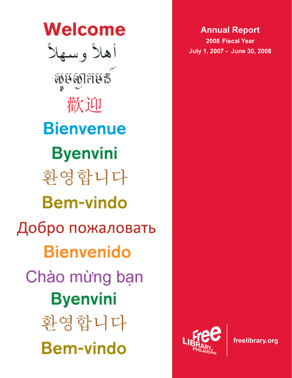Welcome أهلأ وسهلأ สงสตราร 歡迎 **Bienvenue Byenvini** 화영합니다 **Bem-vindo** Добро пожаловать **Bienvenido** Chào mừng bạn **Byenvini** 화영합니다 **Bem-vindo** 



**freelibrary.org**

# **Annual Report**

**2008 Fiscal Year July 1, 2007 - June 30, 2008**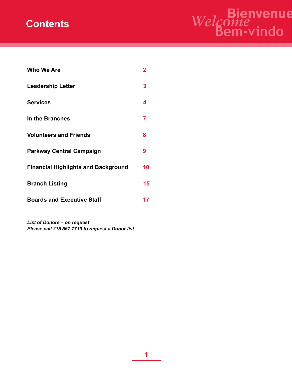# **Contents**



| Who We Are                                 | 2  |
|--------------------------------------------|----|
| <b>Leadership Letter</b>                   | 3  |
| <b>Services</b>                            | 4  |
| In the Branches                            | 7  |
| <b>Volunteers and Friends</b>              | 8  |
| <b>Parkway Central Campaign</b>            | 9  |
| <b>Financial Highlights and Background</b> | 10 |
| <b>Branch Listing</b>                      | 15 |
| <b>Boards and Executive Staff</b>          | 17 |

*List of Donors – on request Please call 215.567.7710 to request a Donor list*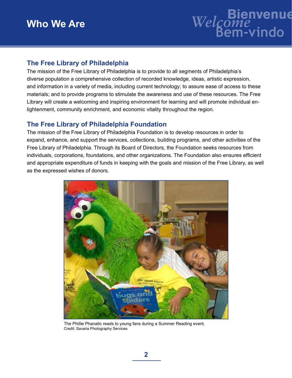# **Who We Are**



# **The Free Library of Philadelphia**

The mission of the Free Library of Philadelphia is to provide to all segments of Philadelphia's diverse population a comprehensive collection of recorded knowledge, ideas, artistic expression, and information in a variety of media, including current technology; to assure ease of access to these materials; and to provide programs to stimulate the awareness and use of these resources. The Free Library will create a welcoming and inspiring environment for learning and will promote individual enlightenment, community enrichment, and economic vitality throughout the region.

# **The Free Library of Philadelphia Foundation**

The mission of the Free Library of Philadelphia Foundation is to develop resources in order to expand, enhance, and support the services, collections, building programs, and other activities of the Free Library of Philadelphia. Through its Board of Directors, the Foundation seeks resources from individuals, corporations, foundations, and other organizations. The Foundation also ensures efficient and appropriate expenditure of funds in keeping with the goals and mission of the Free Library, as well as the expressed wishes of donors.



The Phillie Phanatic reads to young fans during a Summer Reading event. Credit: Savaria Photography Services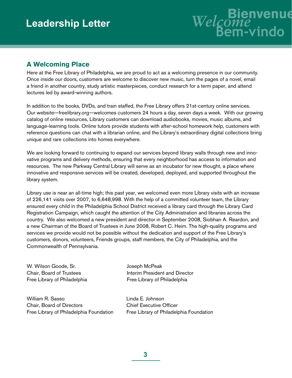

# **A Welcoming Place**

Here at the Free Library of Philadelphia, we are proud to act as a welcoming presence in our community. Once inside our doors, customers are welcome to discover new music, turn the pages of a novel, email a friend in another country, study artistic masterpieces, conduct research for a term paper, and attend lectures led by award-winning authors.

In addition to the books, DVDs, and train staffed, the Free Library offers 21st-century online services. Our website—freelibrary.org—welcomes customers 24 hours a day, seven days a week. With our growing catalog of online resources, Library customers can download audiobooks, movies, music albums, and language-learning tools. Online tutors provide students with after-school homework help, customers with reference questions can chat with a librarian online, and the Library's extraordinary digital collections bring unique and rare collections into homes everywhere.

We are looking forward to continuing to expand our services beyond library walls through new and innovative programs and delivery methods, ensuring that every neighborhood has access to information and resources. The new Parkway Central Library will serve as an incubator for new thought, a place where innovative and responsive services will be created, developed, deployed, and supported throughout the library system.

Library use is near an all-time high; this past year, we welcomed even more Library visits with an increase of 226,141 visits over 2007, to 6,648,998. With the help of a committed volunteer team, the Library ensured every child in the Philadelphia School District received a library card through the Library Card Registration Campaign, which caught the attention of the City Administration and libraries across the country. We also welcomed a new president and director in September 2008, Siobhan A. Reardon, and a new Chairman of the Board of Trustees in June 2008, Robert C. Heim. The high-quality programs and services we provide would not be possible without the dedication and support of the Free Library's customers, donors, volunteers, Friends groups, staff members, the City of Philadelphia, and the Commonwealth of Pennsylvania.

W. Wilson Goode, Sr. Chair, Board of Trustees Free Library of Philadelphia

William R. Sasso Chair, Board of Directors Free Library of Philadelphia Foundation Joseph McPeak Interim President and Director Free Library of Philadelphia

Linda E. Johnson Chief Executive Officer Free Library of Philadelphia Foundation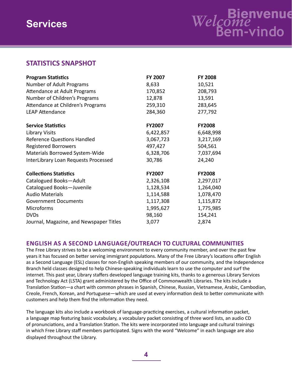# **STATISTICS SNAPSHOT**

| <b>Program Statistics</b>               | FY 2007       | <b>FY 2008</b> |
|-----------------------------------------|---------------|----------------|
| Number of Adult Programs                | 8,633         | 10,521         |
| Attendance at Adult Programs            | 170,852       | 208,793        |
| Number of Children's Programs           | 12,878        | 13,591         |
| Attendance at Children's Programs       | 259,310       | 283,645        |
| <b>LEAP Attendance</b>                  | 284,360       | 277,792        |
| <b>Service Statistics</b>               | <b>FY2007</b> | <b>FY2008</b>  |
| <b>Library Visits</b>                   | 6,422,857     | 6,648,998      |
| <b>Reference Questions Handled</b>      | 3,067,723     | 3,217,169      |
| <b>Registered Borrowers</b>             | 497,427       | 504,561        |
| Materials Borrowed System-Wide          | 6,328,706     | 7,037,694      |
| InterLibrary Loan Requests Processed    | 30,786        | 24,240         |
| <b>Collections Statistics</b>           | <b>FY2007</b> | <b>FY2008</b>  |
| Catalogued Books-Adult                  | 2,326,108     | 2,297,017      |
| Catalogued Books-Juvenile               | 1,128,534     | 1,264,040      |
| <b>Audio Materials</b>                  | 1,114,588     | 1,078,470      |
| <b>Government Documents</b>             | 1,117,308     | 1,115,872      |
| Microforms                              | 1,995,627     | 1,775,985      |
| <b>DVDs</b>                             | 98,160        | 154,241        |
| Journal, Magazine, and Newspaper Titles | 3,077         | 2,874          |

## **English as a Second Language/OUTREACH TO CULTURAL COMMUNITIES**

The Free Library strives to be a welcoming environment to every community member, and over the past few years it has focused on better serving immigrant populations. Many of the Free Library's locations offer English as a Second Language (ESL) classes for non-English speaking members of our community, and the Independence Branch held classes designed to help Chinese-speaking individuals learn to use the computer and surf the internet. This past year, Library staffers developed language training kits, thanks to a generous Library Services and Technology Act (LSTA) grant administered by the Office of Commonwealth Libraries. The kits include a Translation Station—a chart with common phrases in Spanish, Chinese, Russian, Vietnamese, Arabic, Cambodian, Creole, French, Korean, and Portuguese—which are used at every information desk to better communicate with customers and help them find the information they need.

The language kits also include a workbook of language-practicing exercises, a cultural information packet, a language map featuring basic vocabulary, a vocabulary packet consisting of three word lists, an audio CD of pronunciations, and a Translation Station. The kits were incorporated into language and cultural trainings in which Free Library staff members participated. Signs with the word "Welcome" in each language are also displayed throughout the Library.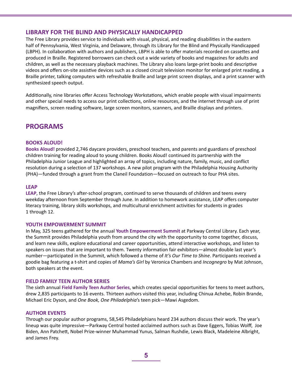#### **LIBRARY FOR THE BLIND AND PHYSICALLY HANDICAPPED**

The Free Library provides service to individuals with visual, physical, and reading disabilities in the eastern half of Pennsylvania, West Virginia, and Delaware, through its Library for the Blind and Physically Handicapped (LBPH). In collaboration with authors and publishers, LBPH is able to offer materials recorded on cassettes and produced in Braille. Registered borrowers can check out a wide variety of books and magazines for adults and children, as well as the necessary playback machines. The Library also loans large-print books and descriptive videos and offers on-site assistive devices such as a closed circuit television monitor for enlarged print reading, a Braille printer, talking computers with refreshable Braille and large print screen displays, and a print scanner with synthesized speech output.

Additionally, nine libraries offer Access Technology Workstations, which enable people with visual impairments and other special needs to access our print collections, online resources, and the internet through use of print magnifiers, screen reading software, large screen monitors, scanners, and Braille displays and printers.

# **PROGRAMS**

#### **BOOKS ALOUD!**

**Books Aloud!** provided 2,746 daycare providers, preschool teachers, and parents and guardians of preschool children training for reading aloud to young children. Books Aloud! continued its partnership with the Philadelphia Junior League and highlighted an array of topics, including nature, family, music, and conflict resolution during a selection of 137 workshops. A new pilot program with the Philadelphia Housing Authority (PHA)—funded through a grant from the Claneil Foundation—focused on outreach to four PHA sites.

#### **LEAP**

**LEAP**, the Free Library's after-school program, continued to serve thousands of children and teens every weekday afternoon from September through June. In addition to homework assistance, LEAP offers computer literacy training, library skills workshops, and multicultural enrichment activities for students in grades 1 through 12.

#### **YOUTH EMPOWERMENT SUMMIT**

In May, 325 teens gathered for the annual **Youth Empowerment Summit** at Parkway Central Library. Each year, the Summit provides Philadelphia youth from around the city with the opportunity to come together, discuss, and learn new skills, explore educational and career opportunities, attend interactive workshops, and listen to speakers on issues that are important to them. Twenty information fair exhibitors—almost double last year's number—participated in the Summit, which followed a theme of *It's Our Time to Shine*. Participants received a goodie bag featuring a t-shirt and copies of *Mama's Girl* by Veronica Chambers and *Incognegro* by Mat Johnson, both speakers at the event.

#### **FIELD FAMILY TEEN AUTHOR SERIES**

The sixth annual **Field Family Teen Author Series**, which creates special opportunities for teens to meet authors, drew 2,835 participants to 16 events. Thirteen authors visited this year, including Chinua Achebe, Robin Brande, Michael Eric Dyson, and *One Book, One Philadelphia*'s teen pick—Mawi Asgedom.

#### **AUTHOR EVENTS**

Through our popular author programs, 58,545 Philadelphians heard 234 authors discuss their work. The year's lineup was quite impressive—Parkway Central hosted acclaimed authors such as Dave Eggers, Tobias Wolff, Joe Biden, Ann Patchett, Nobel Prize-winner Muhammad Yunus, Salman Rushdie, Lewis Black, Madeleine Albright, and James Frey.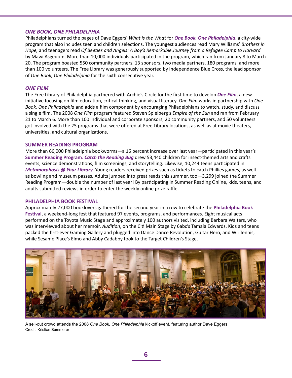#### *ONE BOOK, ONE PHILADELPHIA*

Philadelphians turned the pages of Dave Eggers' *What is the What* for *One Book, One Philadelphia*, a city-wide program that also includes teen and children selections. The youngest audiences read Mary Williams' *Brothers in Hope,* and teenagers read *Of Beetles and Angels: A Boy's Remarkable Journey from a Refugee Camp to Harvard* by Mawi Asgedom. More than 10,000 individuals participated in the program, which ran from January 8 to March 20. The program boasted 550 community partners, 13 sponsors, two media partners, 180 programs, and more than 100 volunteers. The Free Library was generously supported by Independence Blue Cross, the lead sponsor of *One Book, One Philadelphia* for the sixth consecutive year.

#### *ONE FILM*

The Free Library of Philadelphia partnered with Archie's Circle for the first time to develop *One Film*, a new initiative focusing on film education, critical thinking, and visual literacy. *One Film* works in partnership with *One Book, One Philadelphia* and adds a film component by encouraging Philadelphians to watch, study, and discuss a single film. The 2008 *One Film* program featured Steven Spielberg's *Empire of the Sun* and ran from February 21 to March 6. More than 100 individual and corporate sponsors, 20 community partners, and 50 volunteers got involved with the 25 programs that were offered at Free Library locations, as well as at movie theaters, universities, and cultural organizations.

#### **SUMMER READING PROGRAM**

More than 66,000 Philadelphia bookworms—a 16 percent increase over last year—participated in this year's **Summer Reading Program**. *Catch the Reading Bug* drew 53,440 children for insect-themed arts and crafts events, science demonstrations, film screenings, and storytelling. Likewise, 10,244 teens participated in *Metamorphosis @ Your Library*. Young readers received prizes such as tickets to catch Phillies games, as well as bowling and museum passes. Adults jumped into great reads this summer, too—3,299 joined the Summer Reading Program—double the number of last year! By participating in Summer Reading Online, kids, teens, and adults submitted reviews in order to enter the weekly online prize raffle.

#### **PHILADELPHIA BOOK FESTIVAL**

Approximately 27,000 booklovers gathered for the second year in a row to celebrate the **Philadelphia Book Festival**, a weekend-long fest that featured 97 events, programs, and performances. Eight musical acts performed on the Toyota Music Stage and approximately 100 authors visited, including Barbara Walters, who was interviewed about her memoir, *Audition*, on the Citi Main Stage by 6abc's Tamala Edwards. Kids and teens packed the first-ever Gaming Gallery and plugged into Dance Dance Revolution, Guitar Hero, and Wii Tennis, while Sesame Place's Elmo and Abby Cadabby took to the Target Children's Stage.



A sell-out crowd attends the 2008 *One Book, One Philadelphia* kickoff event, featuring author Dave Eggers. Credit: Kristian Summerer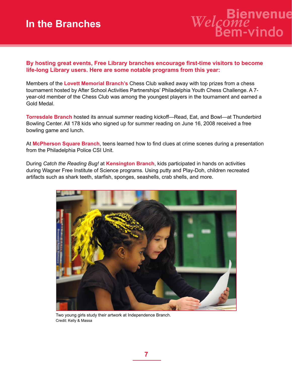# **In the Branches**



**By hosting great events, Free Library branches encourage first-time visitors to become life-long Library users. Here are some notable programs from this year:**

Members of the **Lovett Memorial Branch's** Chess Club walked away with top prizes from a chess tournament hosted by After School Activities Partnerships' Philadelphia Youth Chess Challenge. A 7 year-old member of the Chess Club was among the youngest players in the tournament and earned a Gold Medal.

**Torresdale Branch** hosted its annual summer reading kickoff—Read, Eat, and Bowl—at Thunderbird Bowling Center. All 178 kids who signed up for summer reading on June 16, 2008 received a free bowling game and lunch.

At **McPherson Square Branch**, teens learned how to find clues at crime scenes during a presentation from the Philadelphia Police CSI Unit.

During *Catch the Reading Bug!* at **Kensington Branch**, kids participated in hands on activities during Wagner Free Institute of Science programs. Using putty and Play-Doh, children recreated artifacts such as shark teeth, starfish, sponges, seashells, crab shells, and more.



Two young girls study their artwork at Independence Branch. Credit: Kelly & Massa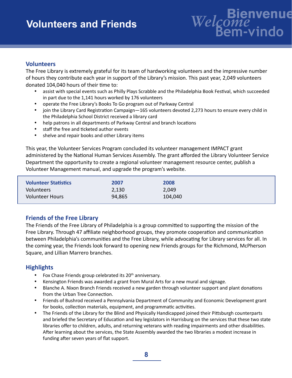# **Volunteers and Friends**

# **Bienvenue** *Welcome* **Bem-vindo**

# **Volunteers**

The Free Library is extremely grateful for its team of hardworking volunteers and the impressive number of hours they contribute each year in support of the Library's mission. This past year, 2,049 volunteers donated 104,040 hours of their time to:

- assist with special events such as Philly Plays Scrabble and the Philadelphia Book Festival, which succeeded in part due to the 1,141 hours worked by 176 volunteers
- • operate the Free Library's Books To Go program out of Parkway Central
- join the Library Card Registration Campaign-165 volunteers devoted 2,273 hours to ensure every child in the Philadelphia School District received a library card
- help patrons in all departments of Parkway Central and branch locations
- • staff the free and ticketed author events
- shelve and repair books and other Library items

This year, the Volunteer Services Program concluded its volunteer management IMPACT grant administered by the National Human Services Assembly. The grant afforded the Library Volunteer Service Department the opportunity to create a regional volunteer management resource center, publish a Volunteer Management manual, and upgrade the program's website.

| <b>Volunteer Statistics</b> | 2007   | 2008    |
|-----------------------------|--------|---------|
| Volunteers                  | 2,130  | 2,049   |
| <b>Volunteer Hours</b>      | 94,865 | 104,040 |

# **Friends of the Free Library**

The Friends of the Free Library of Philadelphia is a group committed to supporting the mission of the Free Library. Through 47 affiliate neighborhood groups, they promote cooperation and communication between Philadelphia's communities and the Free Library, while advocating for Library services for all. In the coming year, the Friends look forward to opening new Friends groups for the Richmond, McPherson Square, and Lillian Marrero branches.

## **Highlights**

- Fox Chase Friends group celebrated its 20<sup>th</sup> anniversary.
- Kensington Friends was awarded a grant from Mural Arts for a new mural and signage.
- Blanche A. Nixon Branch Friends received a new garden through volunteer support and plant donations from the Urban Tree Connection.
- • Friends of Bushrod received a Pennsylvania Department of Community and Economic Development grant for books, collection materials, equipment, and programmatic activities.
- The Friends of the Library for the Blind and Physically Handicapped joined their Pittsburgh counterparts and briefed the Secretary of Education and key legislators in Harrisburg on the services that these two state libraries offer to children, adults, and returning veterans with reading impairments and other disabilities. After learning about the services, the State Assembly awarded the two libraries a modest increase in funding after seven years of flat support.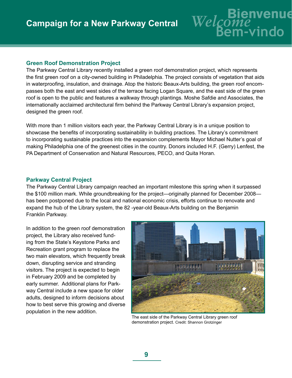#### **Green Roof Demonstration Project**

The Parkway Central Library recently installed a green roof demonstration project, which represents the first green roof on a city-owned building in Philadelphia. The project consists of vegetation that aids in waterproofing, insulation, and drainage. Atop the historic Beaux-Arts building, the green roof encompasses both the east and west sides of the terrace facing Logan Square, and the east side of the green roof is open to the public and features a walkway through plantings. Moshe Safdie and Associates, the internationally acclaimed architectural firm behind the Parkway Central Library's expansion project, designed the green roof.

With more than 1 million visitors each year, the Parkway Central Library is in a unique position to showcase the benefits of incorporating sustainability in building practices. The Library's commitment to incorporating sustainable practices into the expansion complements Mayor Michael Nutter's goal of making Philadelphia one of the greenest cities in the country. Donors included H.F. (Gerry) Lenfest, the PA Department of Conservation and Natural Resources, PECO, and Quita Horan.

#### **Parkway Central Project**

The Parkway Central Library campaign reached an important milestone this spring when it surpassed the \$100 million mark. While groundbreaking for the project—originally planned for December 2008 has been postponed due to the local and national economic crisis, efforts continue to renovate and expand the hub of the Library system, the 82 -year-old Beaux-Arts building on the Benjamin Franklin Parkway.

In addition to the green roof demonstration project, the Library also received funding from the State's Keystone Parks and Recreation grant program to replace the two main elevators, which frequently break down, disrupting service and stranding visitors. The project is expected to begin in February 2009 and be completed by early summer. Additional plans for Parkway Central include a new space for older adults, designed to inform decisions about how to best serve this growing and diverse population in the new addition.



**Bienvenue** *Welcome* **Bem-vindo**

The east side of the Parkway Central Library green roof demonstration project. Credit: Shannon Grotzinger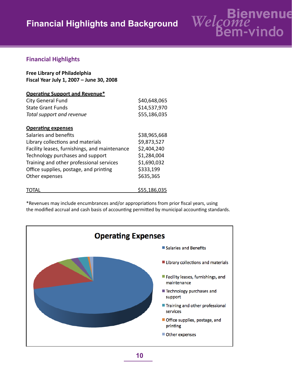# **Financial Highlights and Background**



# **Financial Highlights**

| <b>Free Library of Philadelphia</b>      |
|------------------------------------------|
| Fiscal Year July 1, 2007 - June 30, 2008 |

| <b>Operating Support and Revenue*</b>         |              |
|-----------------------------------------------|--------------|
| <b>City General Fund</b>                      | \$40,648,065 |
| <b>State Grant Funds</b>                      | \$14,537,970 |
| Total support and revenue                     | \$55,186,035 |
| <b>Operating expenses</b>                     |              |
| Salaries and benefits                         | \$38,965,668 |
| Library collections and materials             | \$9,873,527  |
| Facility leases, furnishings, and maintenance | \$2,404,240  |
| Technology purchases and support              | \$1,284,004  |
| Training and other professional services      | \$1,690,032  |
| Office supplies, postage, and printing        | \$333,199    |
| Other expenses                                | \$635,365    |
|                                               | \$55,186,035 |

\*Revenues may include encumbrances and/or appropriations from prior fiscal years, using the modified accrual and cash basis of accounting permitted by municipal accounting standards.

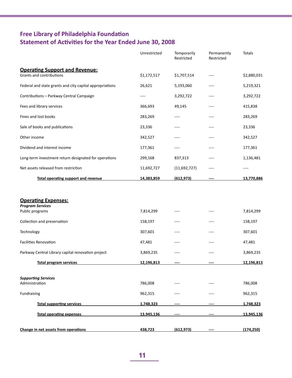# **Free Library of Philadelphia Foundation Statement of Activities for the Year Ended June 30, 2008**

|                                                                          | Unrestricted | Temporarily<br>Restricted | Permanently<br>Restricted | Totals            |
|--------------------------------------------------------------------------|--------------|---------------------------|---------------------------|-------------------|
| <b>Operating Support and Revenue:</b><br>Grants and contributions        | \$1,172,517  | \$1,707,514               | ----                      | \$2,880,031       |
| Federal and state grants and city capital appropriations                 | 26,621       | 5,193,060                 | ----                      | 5,219,321         |
| Contributions - Parkway Central Campaign                                 | ----         | 3,292,722                 | ----                      | 3,292,722         |
| Fees and library services                                                | 366,693      | 49,145                    | ----                      | 415,838           |
| Fines and lost books                                                     | 283,269      | ----                      | ----                      | 283,269           |
| Sale of books and publications                                           | 23,336       | ----                      | ----                      | 23,336            |
| Other income                                                             | 342,527      | ----                      | ----                      | 342,527           |
| Dividend and interest income                                             | 177,361      | ----                      | ----                      | 177,361           |
| Long-term investment return designated for operations                    | 299,168      | 837,313                   | ----                      | 1,136,481         |
| Net assets released from restriction                                     | 11,692,727   | (11,692,727)              | ----                      | ----              |
| <b>Total operating support and revenue</b>                               | 14,383,859   | (612, 973)                |                           | 13,770,886        |
| <b>Operating Expenses:</b><br><b>Program Services</b><br>Public programs | 7,814,299    | $---$                     | $---$                     | 7,814,299         |
|                                                                          |              |                           |                           |                   |
| Collection and preservation                                              | 158,197      | ----                      | ----                      | 158,197           |
| Technology                                                               | 307,601      | ----                      | ----                      | 307,601           |
| <b>Facilities Renovation</b>                                             | 47,481       | ----                      |                           | 47,481            |
| Parkway Central Library capital renovation project                       | 3,869,235    | ----                      |                           | 3,869,235         |
| Total program services                                                   | 12.196.813   |                           |                           | 12.196.813        |
| <b>Supporting Services</b><br>Administration                             | 786,008      |                           |                           | 786,008           |
| Fundraising                                                              | 962,315      |                           |                           | 962,315           |
| <b>Total supporting services</b>                                         | 1,748,323    |                           |                           | 1,748,323         |
| <b>Total operating expenses</b>                                          | 13,945,136   |                           |                           | <u>13,945,136</u> |
| Change in net assets from operations                                     | 438,723      | (612, 973)                |                           | (174, 250)        |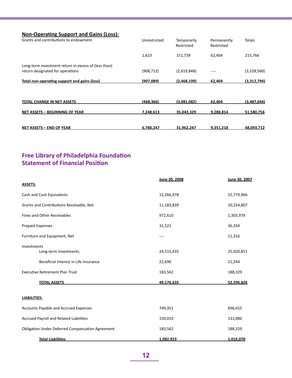| <b>Non-Operating Support and Gains (Loss):</b>       |              |                           |                           |               |
|------------------------------------------------------|--------------|---------------------------|---------------------------|---------------|
| Grants and contributions to endowment                | Unrestricted | Temporarily<br>Restricted | Permanently<br>Restricted | <b>Totals</b> |
|                                                      | 1,623        | 151,739                   | 62,404                    | 215,766       |
| Long-term investment return in excess of (less than) |              |                           |                           |               |
| return designated for operations                     | (908, 712)   | (2,619,848)               |                           | (3,528,560)   |
| <b>Total non-operating support and gains (loss)</b>  | (907.089)    | (2.468.109)               | 62.404                    | (3,312,794)   |
|                                                      |              |                           |                           |               |
| TOTAL CHANGE IN NET ASSETS                           | (468, 366)   | (3,081,082)               | 62,404                    | (3,487,044)   |
| <b>NET ASSETS - BEGINNING OF YEAR</b>                | 7.248.613    | 35,043,329                | 9,288,814                 | 51,580,756    |
| <b>NET ASSETS - END OF YEAR</b>                      | 6.780.247    | 31.962.247                | 9.351.218                 | 48.093.712    |

# **Free Library of Philadelphia Foundation Statement of Financial Position**

|                                                         | June 30, 2008 | June 30, 2007 |
|---------------------------------------------------------|---------------|---------------|
| <b>ASSETS:</b>                                          |               |               |
| Cash and Cash Equivalents                               | 12,266,978    | 15,779,966    |
| Grants and Contributions Receivable, Net                | 11,183,839    | 10,234,807    |
| Fines and Other Receivables                             | 972,610       | 1,303,979     |
| <b>Prepaid Expenses</b>                                 | 31,521        | 36,334        |
| Furniture and Equipment, Net                            | ----          | 11,316        |
| Investments                                             |               |               |
| Long-term Investments                                   | 24,515,435    | 25,020,851    |
| Beneficial Interest in Life Insurance                   | 22,690        | 21,244        |
| <b>Executive Retirement Plan Trust</b>                  | 183,562       | 188,329       |
| <b>TOTAL ASSETS</b>                                     | 49,176,635    | 52,596,826    |
| <b>LIABILITIES:</b>                                     |               |               |
| Accounts Payable and Accrued Expenses                   | 749,351       | 696,655       |
| Accrued Payroll and Related Liabilities                 | 150,010       | 131,086       |
| <b>Obligation Under Deferred Compensation Agreement</b> | 183,562       | 188,329       |
| <b>Total Liabilities</b>                                | 1,082,923     | 1,016,070     |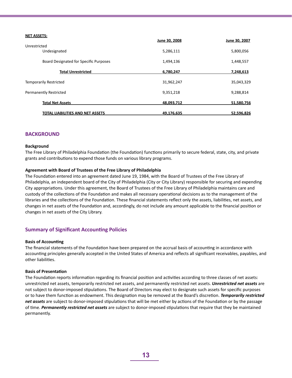| <b>NET ASSETS:</b>                     | June 30, 2008 | June 30, 2007 |
|----------------------------------------|---------------|---------------|
| Unrestricted                           |               |               |
| Undesignated                           | 5,286,111     | 5,800,056     |
| Board Designated for Specific Purposes | 1,494,136     | 1,448,557     |
| <b>Total Unrestricted</b>              | 6,780,247     | 7,248,613     |
| <b>Temporarily Restricted</b>          | 31,962,247    | 35,043,329    |
| <b>Permanently Restricted</b>          | 9,351,218     | 9,288,814     |
| <b>Total Net Assets</b>                | 48,093,712    | 51,580,756    |
| TOTAL LIABILITIES AND NET ASSETS       | 49,176,635    | 52,596,826    |

#### **BACKGROUND**

#### **Background**

The Free Library of Philadelphia Foundation (the Foundation) functions primarily to secure federal, state, city, and private grants and contributions to expend those funds on various library programs.

#### **Agreement with Board of Trustees of the Free Library of Philadelphia**

The Foundation entered into an agreement dated June 19, 1984, with the Board of Trustees of the Free Library of Philadelphia, an independent board of the City of Philadelphia (City or City Library) responsible for securing and expending City appropriations. Under this agreement, the Board of Trustees of the Free Library of Philadelphia maintains care and custody of the collections of the Foundation and makes all necessary operational decisions as to the management of the libraries and the collections of the Foundation. These financial statements reflect only the assets, liabilities, net assets, and changes in net assets of the Foundation and, accordingly, do not include any amount applicable to the financial position or changes in net assets of the City Library.

#### **Summary of Significant Accounting Policies**

#### **Basis of Accounting**

The financial statements of the Foundation have been prepared on the accrual basis of accounting in accordance with accounting principles generally accepted in the United States of America and reflects all significant receivables, payables, and other liabilities.

#### **Basis of Presentation**

The Foundation reports information regarding its financial position and activities according to three classes of net assets: unrestricted net assets, temporarily restricted net assets, and permanently restricted net assets. *Unrestricted net assets* are not subject to donor-imposed stipulations. The Board of Directors may elect to designate such assets for specific purposes or to have them function as endowment. This designation may be removed at the Board's discretion. *Temporarily restricted net assets* are subject to donor-imposed stipulations that will be met either by actions of the Foundation or by the passage of time. *Permanently restricted net assets* are subject to donor-imposed stipulations that require that they be maintained permanently.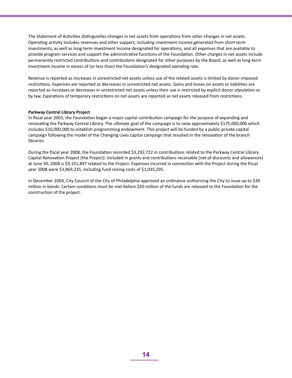The Statement of Activities distinguishes changes in net assets from operations from other changes in net assets. Operating activity includes revenues and other support, including investment income generated from short-term investments, as well as long-term investment income designated for operations, and all expenses that are available to provide program services and support the administrative functions of the Foundation. Other charges in net assets include permanently restricted contributions and contributions designated for other purposes by the Board, as well as long-term investment income in excess of (or less than) the Foundation's designated spending rate.

Revenue is reported as increases in unrestricted net assets unless use of the related assets is limited by donor-imposed restrictions. Expenses are reported as decreases in unrestricted net assets. Gains and losses on assets or liabilities are reported as increases or decreases in unrestricted net assets unless their use is restricted by explicit donor stipulation or by law. Expirations of temporary restrictions on net assets are reported as net assets released from restrictions.

#### **Parkway Central Library Project**

In fiscal year 2003, the Foundation began a major capital contribution campaign for the purpose of expanding and renovating the Parkway Central Library. The ultimate goal of the campaign is to raise approximately \$175,000,000 which includes \$10,000,000 to establish programming endowment. This project will be funded by a public-private capital campaign following the model of the Changing Lives capital campaign that resulted in the renovation of the branch libraries.

During the fiscal year 2008, the Foundation recorded \$3,292,722 in contributions related to the Parkway Central Library Capital Renovation Project (the Project). Included in grants and contributions receivable (net of discounts and allowances) at June 30, 2008 is \$9,191,897 related to the Project. Expenses incurred in connection with the Project during the fiscal year 2008 were \$3,869,235, including fund raising costs of \$1,035,295.

In December 2004, City Council of the City of Philadelphia approved an ordinance authorizing the City to issue up to \$30 million in bonds. Certain conditions must be met before \$20 million of the funds are released to the Foundation for the construction of the project.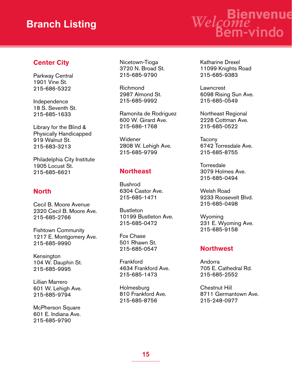# **Branch Listing**

# **Bienvenue** *Welcome* **Bem-vindo**

# **Center City**

Parkway Central 1901 Vine St. 215-686-5322

Independence 18 S. Seventh St. 215-685-1633

Library for the Blind & Physically Handicapped 919 Walnut St. 215-683-3213

Philadelphia City Institute 1905 Locust St. 215-685-6621

# **North**

Cecil B. Moore Avenue 2320 Cecil B. Moore Ave. 215-685-2766

Fishtown Community 1217 E. Montgomery Ave. 215-685-9990

Kensington 104 W. Dauphin St. 215-685-9995

Lillian Marrero 601 W. Lehigh Ave. 215-685-9794

McPherson Square 601 E. Indiana Ave. 215-685-9790

Nicetown-Tioga 3720 N. Broad St. 215-685-9790

Richmond 2987 Almond St. 215-685-9992

Ramonita de Rodriguez 600 W. Girard Ave. 215-686-1768

Widener 2808 W. Lehigh Ave. 215-685-9799

# **Northeast**

Bushrod 6304 Castor Ave. 215-685-1471

**Bustleton** 10199 Bustleton Ave. 215-685-0472

Fox Chase 501 Rhawn St. 215-685-0547

**Frankford** 4634 Frankford Ave. 215-685-1473

**Holmesburg** 810 Frankford Ave. 215-685-8756

Katharine Drexel 11099 Knights Road 215-685-9383

Lawncrest 6098 Rising Sun Ave. 215-685-0549

Northeast Regional 2228 Cottman Ave. 215-685-0522

Tacony 6742 Torresdale Ave. 215-685-8755

**Torresdale** 3079 Holmes Ave. 215-685-0494

Welsh Road 9233 Roosevelt Blvd. 215-685-0498

Wyoming 231 E. Wyoming Ave. 215-685-9158

## **Northwest**

Andorra 705 E. Cathedral Rd. 215-685-2552

Chestnut Hill 8711 Germantown Ave. 215-248-0977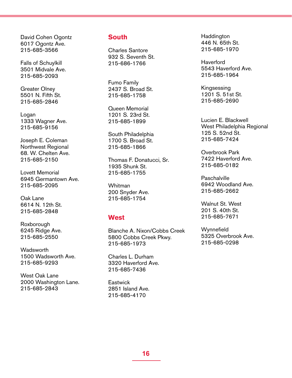David Cohen Ogontz 6017 Ogontz Ave. 215-685-3566

Falls of Schuylkill 3501 Midvale Ave. 215-685-2093

Greater Olney 5501 N. Fifth St. 215-685-2846

Logan 1333 Wagner Ave. 215-685-9156

Joseph E. Coleman Northwest Regional 68. W. Chelten Ave. 215-685-2150

Lovett Memorial 6945 Germantown Ave. 215-685-2095

Oak Lane 6614 N. 12th St. 215-685-2848

Roxborough 6245 Ridge Ave. 215-685-2550

**Wadsworth** 1500 Wadsworth Ave. 215-685-9293

West Oak Lane 2000 Washington Lane. 215-685-2843

## **South**

Charles Santore 932 S. Seventh St. 215-686-1766

Fumo Family 2437 S. Broad St. 215-685-1758

Queen Memorial 1201 S. 23rd St. 215-685-1899

South Philadelphia 1700 S. Broad St. 215-685-1866

Thomas F. Donatucci, Sr. 1935 Shunk St. 215-685-1755

Whitman 200 Snyder Ave. 215-685-1754

#### **West**

Blanche A. Nixon/Cobbs Creek 5800 Cobbs Creek Pkwy. 215-685-1973

Charles L. Durham 3320 Haverford Ave. 215-685-7436

**Eastwick** 2851 Island Ave. 215-685-4170

**Haddington** 446 N. 65th St. 215-685-1970

**Haverford** 5543 Haverford Ave. 215-685-1964

Kingsessing 1201 S. 51st St. 215-685-2690

Lucien E. Blackwell West Philadelphia Regional 125 S. 52nd St. 215-685-7424

Overbrook Park 7422 Haverford Ave. 215-685-0182

**Paschalville** 6942 Woodland Ave. 215-685-2662

Walnut St. West 201 S. 40th St. 215-685-7671

**Wynnefield** 5325 Overbrook Ave. 215-685-0298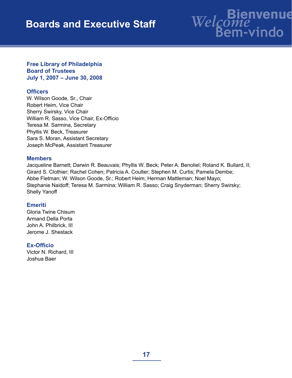# **Boards and Executive Staff**

# **Bienvenue** *Welcome* **Bem-vindo**

#### **Free Library of Philadelphia Board of Trustees July 1, 2007 – June 30, 2008**

## **Officers**

W. Wilson Goode, Sr., Chair Robert Heim, Vice Chair Sherry Swirsky, Vice Chair William R. Sasso, Vice Chair, Ex-Officio Teresa M. Sarmina, Secretary Phyllis W. Beck, Treasurer Sara S. Moran, Assistant Secretary Joseph McPeak, Assistant Treasurer

#### **Members**

Jacqueline Barnett; Darwin R. Beauvais; Phyllis W. Beck; Peter A. Benoliel; Roland K. Bullard, II; Girard S. Clothier; Rachel Cohen; Patricia A. Coulter; Stephen M. Curtis; Pamela Dembe; Abbe Fletman; W. Wilson Goode, Sr.; Robert Heim; Herman Mattleman; Noel Mayo; Stephanie Naidoff; Teresa M. Sarmina; William R. Sasso; Craig Snyderman; Sherry Swirsky; Shelly Yanoff

## **Emeriti**

Gloria Twine Chisum Armand Della Porta John A. Philbrick, III Jerome J. Shestack

## **Ex-Officio**

Victor N. Richard, III Joshua Baer